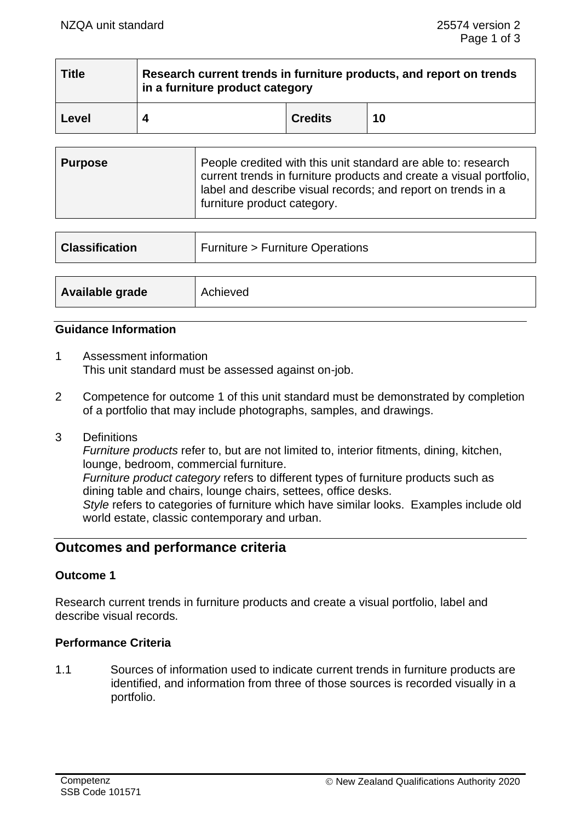| <b>Title</b> | Research current trends in furniture products, and report on trends<br>in a furniture product category |                |    |  |
|--------------|--------------------------------------------------------------------------------------------------------|----------------|----|--|
| Level        |                                                                                                        | <b>Credits</b> | 10 |  |

| People credited with this unit standard are able to: research<br>Purpose<br>current trends in furniture products and create a visual portfolio,<br>label and describe visual records; and report on trends in a<br>furniture product category. |
|------------------------------------------------------------------------------------------------------------------------------------------------------------------------------------------------------------------------------------------------|
|------------------------------------------------------------------------------------------------------------------------------------------------------------------------------------------------------------------------------------------------|

| <b>Classification</b> | <b>Furniture &gt; Furniture Operations</b> |
|-----------------------|--------------------------------------------|
|                       |                                            |
| Available grade       | Achieved                                   |

#### **Guidance Information**

- 1 Assessment information This unit standard must be assessed against on-job.
- 2 Competence for outcome 1 of this unit standard must be demonstrated by completion of a portfolio that may include photographs, samples, and drawings.
- 3 Definitions

*Furniture products* refer to, but are not limited to, interior fitments, dining, kitchen, lounge, bedroom, commercial furniture.

*Furniture product category* refers to different types of furniture products such as dining table and chairs, lounge chairs, settees, office desks.

*Style* refers to categories of furniture which have similar looks. Examples include old world estate, classic contemporary and urban.

## **Outcomes and performance criteria**

### **Outcome 1**

Research current trends in furniture products and create a visual portfolio, label and describe visual records.

### **Performance Criteria**

1.1 Sources of information used to indicate current trends in furniture products are identified, and information from three of those sources is recorded visually in a portfolio.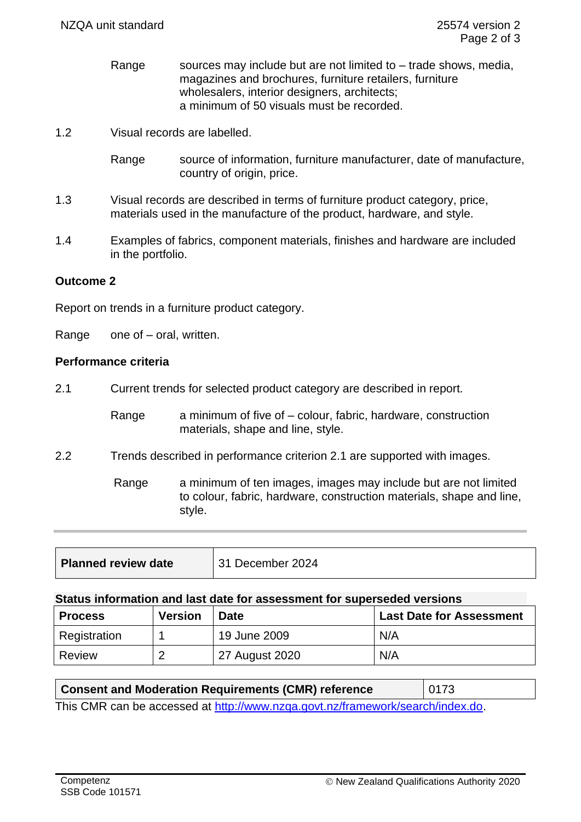- Range sources may include but are not limited to  $-$  trade shows, media, magazines and brochures, furniture retailers, furniture wholesalers, interior designers, architects; a minimum of 50 visuals must be recorded.
- 1.2 Visual records are labelled.
	- Range source of information, furniture manufacturer, date of manufacture, country of origin, price.
- 1.3 Visual records are described in terms of furniture product category, price, materials used in the manufacture of the product, hardware, and style.
- 1.4 Examples of fabrics, component materials, finishes and hardware are included in the portfolio.

### **Outcome 2**

Report on trends in a furniture product category.

Range one of – oral, written.

### **Performance criteria**

2.1 Current trends for selected product category are described in report.

Range a minimum of five of – colour, fabric, hardware, construction materials, shape and line, style.

2.2 Trends described in performance criterion 2.1 are supported with images.

Range a minimum of ten images, images may include but are not limited to colour, fabric, hardware, construction materials, shape and line, style.

| <b>Planned review date</b> | 31 December 2024 |
|----------------------------|------------------|
|                            |                  |

#### **Status information and last date for assessment for superseded versions**

| <b>Process</b> | <b>Version</b> | <b>Date</b>    | <b>Last Date for Assessment</b> |
|----------------|----------------|----------------|---------------------------------|
| Registration   |                | 19 June 2009   | N/A                             |
| Review         |                | 27 August 2020 | N/A                             |

| <b>Consent and Moderation Requirements (CMR) reference</b>                    | 0173 |
|-------------------------------------------------------------------------------|------|
| This CMR can be accessed at http://www.pzga.govt.pz/framework/search/index.do |      |

I nis UMR can be accessed at <u>http://www.nzqa.govt.nz/framework/search/index.do</u>